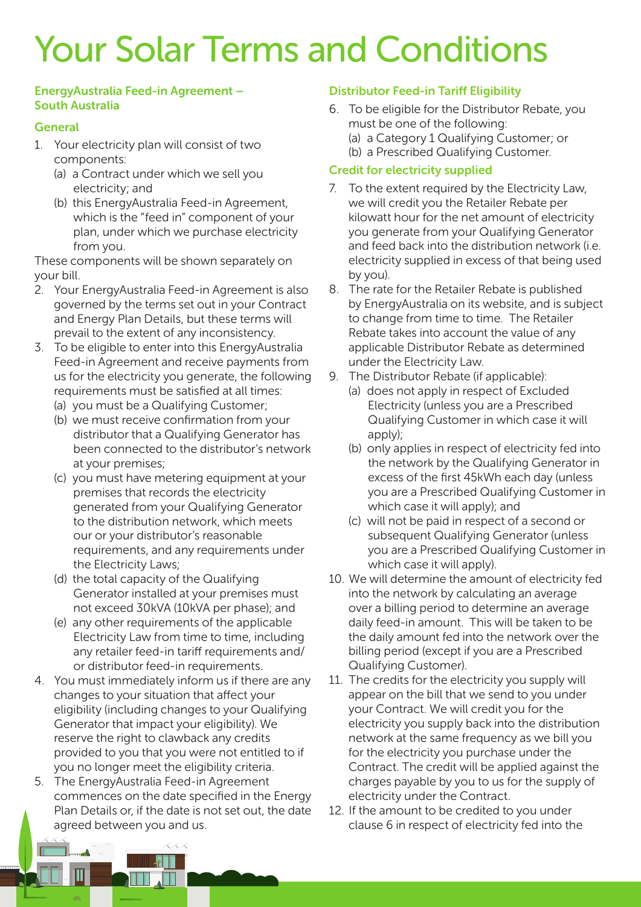# Your Solar Terms and Conditions

#### EnergyAustralia Feed-in Agreement – South Australia

## **General**

- 1. Your electricity plan will consist of two components:
	- (a) a Contract under which we sell you electricity; and
	- (b) this EnergyAustralia Feed-in Agreement, which is the "feed in" component of your plan, under which we purchase electricity from you.

These components will be shown separately on your bill.

- 2. Your EnergyAustralia Feed-in Agreement is also governed by the terms set out in your Contract and Energy Plan Details, but these terms will prevail to the extent of any inconsistency.
- 3. To be eligible to enter into this EnergyAustralia Feed-in Agreement and receive payments from us for the electricity you generate, the following requirements must be satisfied at all times:
	- (a) you must be a Qualifying Customer;
	- (b) we must receive confirmation from your distributor that a Qualifying Generator has been connected to the distributor's network at your premises;
	- (c) you must have metering equipment at your premises that records the electricity generated from your Qualifying Generator to the distribution network, which meets our or your distributor's reasonable requirements, and any requirements under the Electricity Laws;
	- (d) the total capacity of the Qualifying Generator installed at your premises must not exceed 30kVA (10kVA per phase); and
	- (e) any other requirements of the applicable Electricity Law from time to time, including any retailer feed-in tariff requirements and/ or distributor feed-in requirements.
- 4. You must immediately inform us if there are any changes to your situation that affect your eligibility (including changes to your Qualifying Generator that impact your eligibility). We reserve the right to clawback any credits provided to you that you were not entitled to if you no longer meet the eligibility criteria.
- 5. The EnergyAustralia Feed-in Agreement commences on the date specified in the Energy Plan Details or, if the date is not set out, the date agreed between you and us.

### Distributor Feed-in Tariff Eligibility

- 6. To be eligible for the Distributor Rebate, you must be one of the following:
	- (a) a Category 1 Qualifying Customer; or
	- (b) a Prescribed Qualifying Customer.

### Credit for electricity supplied

- 7. To the extent required by the Electricity Law, we will credit you the Retailer Rebate per kilowatt hour for the net amount of electricity you generate from your Qualifying Generator and feed back into the distribution network (i.e. electricity supplied in excess of that being used by you).
- 8. The rate for the Retailer Rebate is published by EnergyAustralia on its website, and is subject to change from time to time. The Retailer Rebate takes into account the value of any applicable Distributor Rebate as determined under the Electricity Law.
- 9. The Distributor Rebate (if applicable):
	- (a) does not apply in respect of Excluded Electricity (unless you are a Prescribed Qualifying Customer in which case it will apply);
	- (b) only applies in respect of electricity fed into the network by the Qualifying Generator in excess of the first 45kWh each day (unless you are a Prescribed Qualifying Customer in which case it will apply); and
	- (c) will not be paid in respect of a second or subsequent Qualifying Generator (unless you are a Prescribed Qualifying Customer in which case it will apply).
- 10. We will determine the amount of electricity fed into the network by calculating an average over a billing period to determine an average daily feed-in amount. This will be taken to be the daily amount fed into the network over the billing period (except if you are a Prescribed Qualifying Customer).
- 11. The credits for the electricity you supply will appear on the bill that we send to you under your Contract. We will credit you for the electricity you supply back into the distribution network at the same frequency as we bill you for the electricity you purchase under the Contract. The credit will be applied against the charges payable by you to us for the supply of electricity under the Contract.
- 12. If the amount to be credited to you under clause 6 in respect of electricity fed into the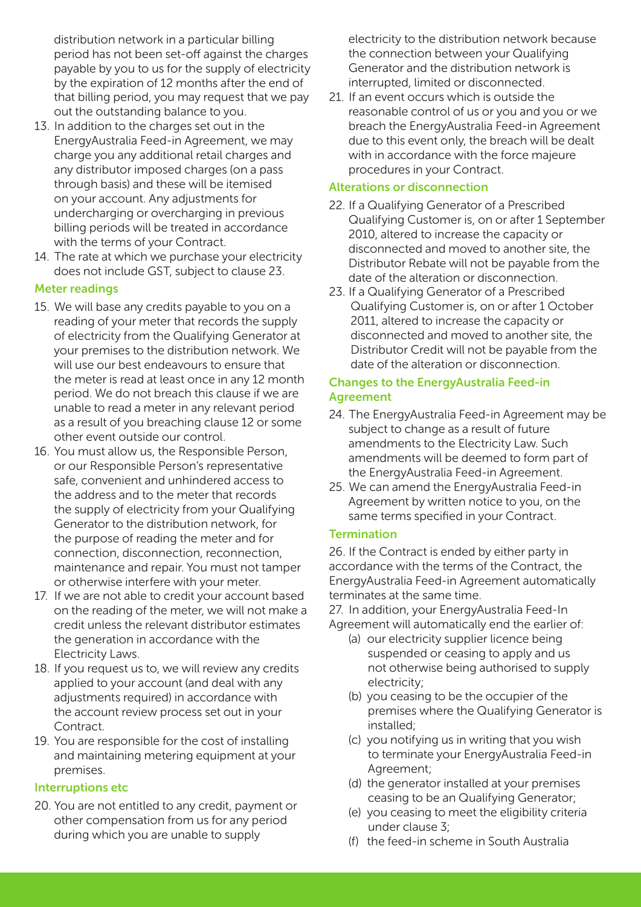distribution network in a particular billing period has not been set-off against the charges payable by you to us for the supply of electricity by the expiration of 12 months after the end of that billing period, you may request that we pay out the outstanding balance to you.

- 13. In addition to the charges set out in the EnergyAustralia Feed-in Agreement, we may charge you any additional retail charges and any distributor imposed charges (on a pass through basis) and these will be itemised on your account. Any adjustments for undercharging or overcharging in previous billing periods will be treated in accordance with the terms of your Contract.
- 14. The rate at which we purchase your electricity does not include GST, subject to clause 23.

## Meter readings

- 15. We will base any credits payable to you on a reading of your meter that records the supply of electricity from the Qualifying Generator at your premises to the distribution network. We will use our best endeavours to ensure that the meter is read at least once in any 12 month period. We do not breach this clause if we are unable to read a meter in any relevant period as a result of you breaching clause 12 or some other event outside our control.
- 16. You must allow us, the Responsible Person, or our Responsible Person's representative safe, convenient and unhindered access to the address and to the meter that records the supply of electricity from your Qualifying Generator to the distribution network, for the purpose of reading the meter and for connection, disconnection, reconnection, maintenance and repair. You must not tamper or otherwise interfere with your meter.
- 17. If we are not able to credit your account based on the reading of the meter, we will not make a credit unless the relevant distributor estimates the generation in accordance with the Electricity Laws.
- 18. If you request us to, we will review any credits applied to your account (and deal with any adjustments required) in accordance with the account review process set out in your **Contract.**
- 19. You are responsible for the cost of installing and maintaining metering equipment at your premises.

## Interruptions etc

20. You are not entitled to any credit, payment or other compensation from us for any period during which you are unable to supply

electricity to the distribution network because the connection between your Qualifying Generator and the distribution network is interrupted, limited or disconnected.

21. If an event occurs which is outside the reasonable control of us or you and you or we breach the EnergyAustralia Feed-in Agreement due to this event only, the breach will be dealt with in accordance with the force majeure procedures in your Contract.

## Alterations or disconnection

- 22. If a Qualifying Generator of a Prescribed Qualifying Customer is, on or after 1 September 2010, altered to increase the capacity or disconnected and moved to another site, the Distributor Rebate will not be payable from the date of the alteration or disconnection.
- 23. If a Qualifying Generator of a Prescribed Qualifying Customer is, on or after 1 October 2011, altered to increase the capacity or disconnected and moved to another site, the Distributor Credit will not be payable from the date of the alteration or disconnection.

## Changes to the EnergyAustralia Feed-in Agreement

- 24. The EnergyAustralia Feed-in Agreement may be subject to change as a result of future amendments to the Electricity Law. Such amendments will be deemed to form part of the EnergyAustralia Feed-in Agreement.
- 25. We can amend the EnergyAustralia Feed-in Agreement by written notice to you, on the same terms specified in your Contract.

## **Termination**

26. If the Contract is ended by either party in accordance with the terms of the Contract, the EnergyAustralia Feed-in Agreement automatically terminates at the same time.

27. In addition, your EnergyAustralia Feed-In Agreement will automatically end the earlier of:

- (a) our electricity supplier licence being suspended or ceasing to apply and us not otherwise being authorised to supply electricity;
- (b) you ceasing to be the occupier of the premises where the Qualifying Generator is installed;
- (c) you notifying us in writing that you wish to terminate your EnergyAustralia Feed-in Agreement;
- (d) the generator installed at your premises ceasing to be an Qualifying Generator;
- (e) you ceasing to meet the eligibility criteria under clause 3;
- (f) the feed-in scheme in South Australia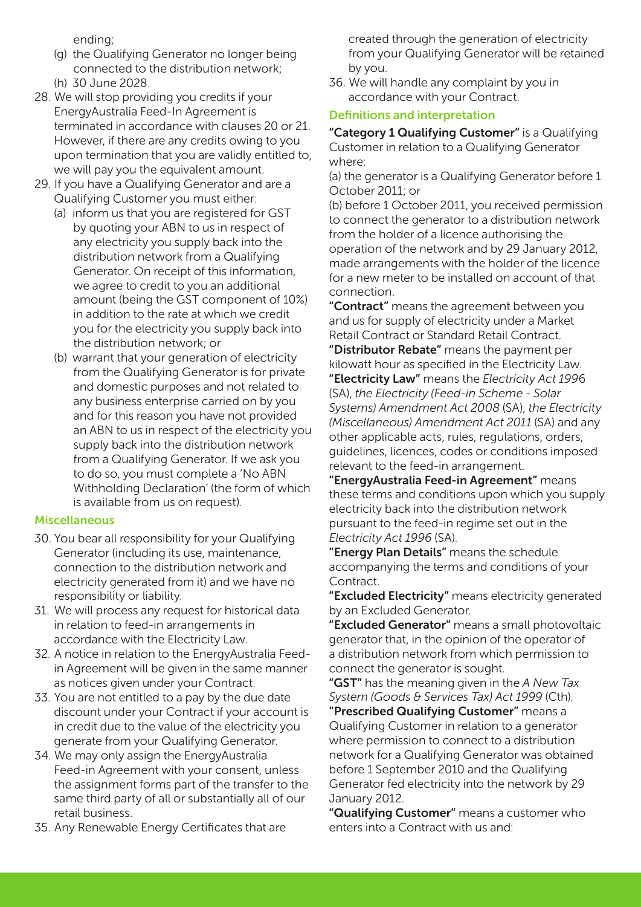ending;

- (g) the Qualifying Generator no longer being connected to the distribution network; (h) 30 June 2028.
- 28. We will stop providing you credits if your EnergyAustralia Feed-In Agreement is terminated in accordance with clauses 20 or 21. However, if there are any credits owing to you upon termination that you are validly entitled to, we will pay you the equivalent amount.
- 29. If you have a Qualifying Generator and are a Qualifying Customer you must either:
	- (a) inform us that you are registered for GST by quoting your ABN to us in respect of any electricity you supply back into the distribution network from a Qualifying Generator. On receipt of this information, we agree to credit to you an additional amount (being the GST component of 10%) in addition to the rate at which we credit you for the electricity you supply back into the distribution network; or
	- (b) warrant that your generation of electricity from the Qualifying Generator is for private and domestic purposes and not related to any business enterprise carried on by you and for this reason you have not provided an ABN to us in respect of the electricity you supply back into the distribution network from a Qualifying Generator. If we ask you to do so, you must complete a 'No ABN Withholding Declaration' (the form of which is available from us on request).

#### Miscellaneous

- 30. You bear all responsibility for your Qualifying Generator (including its use, maintenance, connection to the distribution network and electricity generated from it) and we have no responsibility or liability.
- 31. We will process any request for historical data in relation to feed-in arrangements in accordance with the Electricity Law.
- 32. A notice in relation to the EnergyAustralia Feedin Agreement will be given in the same manner as notices given under your Contract.
- 33. You are not entitled to a pay by the due date discount under your Contract if your account is in credit due to the value of the electricity you generate from your Qualifying Generator.
- 34. We may only assign the EnergyAustralia Feed-in Agreement with your consent, unless the assignment forms part of the transfer to the same third party of all or substantially all of our retail business.
- 35. Any Renewable Energy Certificates that are

created through the generation of electricity from your Qualifying Generator will be retained by you.

36. We will handle any complaint by you in accordance with your Contract.

### Definitions and interpretation

"Category 1 Qualifying Customer" is a Qualifying Customer in relation to a Qualifying Generator where:

(a) the generator is a Qualifying Generator before 1 October 2011; or

(b) before 1 October 2011, you received permission to connect the generator to a distribution network from the holder of a licence authorising the operation of the network and by 29 January 2012, made arrangements with the holder of the licence for a new meter to be installed on account of that connection.

"Contract" means the agreement between you and us for supply of electricity under a Market Retail Contract or Standard Retail Contract.

"Distributor Rebate" means the payment per kilowatt hour as specified in the Electricity Law. "Electricity Law" means the *Electricity Act 199*6 (SA), *the Electricity (Feed-in Scheme - Solar Systems) Amendment Act 2008* (SA), *the Electricity (Miscellaneous) Amendment Act 2011* (SA) and any other applicable acts, rules, regulations, orders, guidelines, licences, codes or conditions imposed relevant to the feed-in arrangement.

"EnergyAustralia Feed-in Agreement" means these terms and conditions upon which you supply electricity back into the distribution network pursuant to the feed-in regime set out in the *Electricity Act 1996* (SA).

"Energy Plan Details" means the schedule accompanying the terms and conditions of your **Contract** 

"Excluded Electricity" means electricity generated by an Excluded Generator.

"Excluded Generator" means a small photovoltaic generator that, in the opinion of the operator of a distribution network from which permission to connect the generator is sought.

"GST" has the meaning given in the *A New Tax System (Goods & Services Tax) Act 1999* (Cth). "Prescribed Qualifying Customer" means a Qualifying Customer in relation to a generator where permission to connect to a distribution network for a Qualifying Generator was obtained before 1 September 2010 and the Qualifying Generator fed electricity into the network by 29 January 2012.

"Qualifying Customer" means a customer who enters into a Contract with us and: